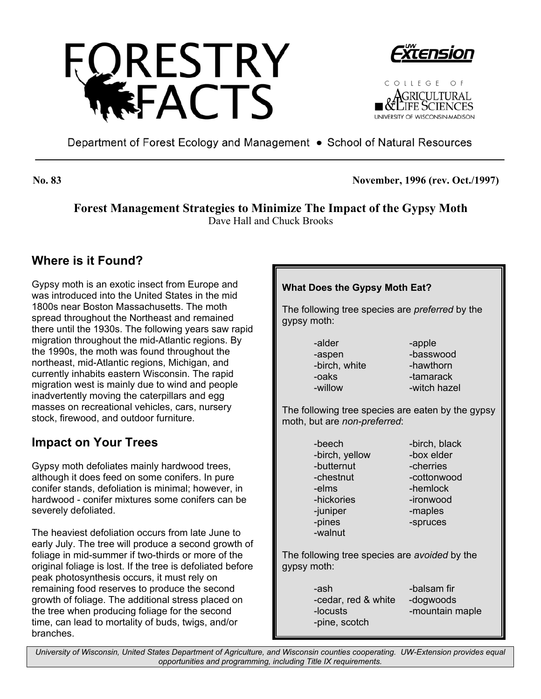





Department of Forest Ecology and Management • School of Natural Resources

**No. 83 November, 1996 (rev. Oct./1997)** 

**Forest Management Strategies to Minimize The Impact of the Gypsy Moth**  Dave Hall and Chuck Brooks

## **Where is it Found?**

Gypsy moth is an exotic insect from Europe and was introduced into the United States in the mid 1800s near Boston Massachusetts. The moth spread throughout the Northeast and remained there until the 1930s. The following years saw rapid migration throughout the mid-Atlantic regions. By the 1990s, the moth was found throughout the northeast, mid-Atlantic regions, Michigan, and currently inhabits eastern Wisconsin. The rapid migration west is mainly due to wind and people inadvertently moving the caterpillars and egg masses on recreational vehicles, cars, nursery stock, firewood, and outdoor furniture.

## **Impact on Your Trees**

Gypsy moth defoliates mainly hardwood trees, although it does feed on some conifers. In pure conifer stands, defoliation is minimal; however, in hardwood - conifer mixtures some conifers can be severely defoliated.

The heaviest defoliation occurs from late June to early July. The tree will produce a second growth of foliage in mid-summer if two-thirds or more of the original foliage is lost. If the tree is defoliated before peak photosynthesis occurs, it must rely on remaining food reserves to produce the second growth of foliage. The additional stress placed on the tree when producing foliage for the second time, can lead to mortality of buds, twigs, and/or branches.

### **What Does the Gypsy Moth Eat?**

The following tree species are *preferred* by the gypsy moth:

> -alder -apple -aspen -basswood -birch, white -hawthorn -oaks -tamarack -willow -witch hazel

The following tree species are eaten by the gypsy moth, but are *non-preferred*:

> -birch, yellow -box elder -butternut -cherries -elms -hemlock -hickories -ironwood -juniper -maples -pines -spruces -walnut

-beech -birch, black -chestnut -cottonwood

The following tree species are *avoided* by the gypsy moth:

| -ash                | -balsam fir     |
|---------------------|-----------------|
| -cedar, red & white | -dogwoods       |
| -locusts            | -mountain maple |
| -pine, scotch       |                 |

*University of Wisconsin, United States Department of Agriculture, and Wisconsin counties cooperating. UW-Extension provides equal opportunities and programming, including Title IX requirements.*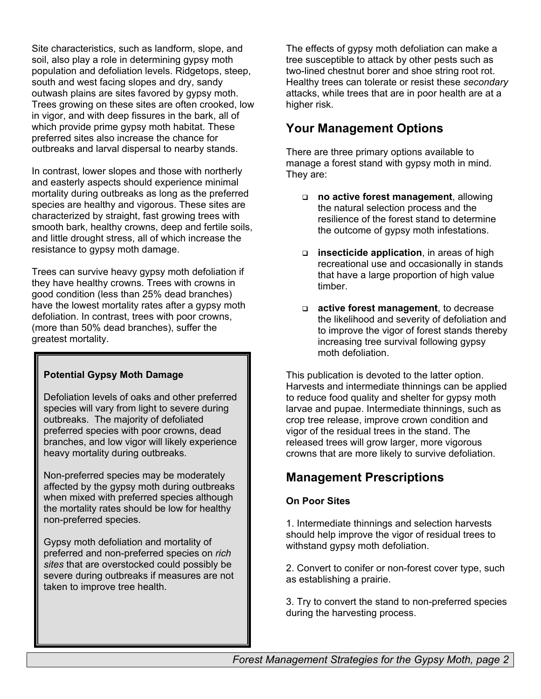Site characteristics, such as landform, slope, and soil, also play a role in determining gypsy moth population and defoliation levels. Ridgetops, steep, south and west facing slopes and dry, sandy outwash plains are sites favored by gypsy moth. Trees growing on these sites are often crooked, low in vigor, and with deep fissures in the bark, all of which provide prime gypsy moth habitat. These preferred sites also increase the chance for outbreaks and larval dispersal to nearby stands.

In contrast, lower slopes and those with northerly and easterly aspects should experience minimal mortality during outbreaks as long as the preferred species are healthy and vigorous. These sites are characterized by straight, fast growing trees with smooth bark, healthy crowns, deep and fertile soils, and little drought stress, all of which increase the resistance to gypsy moth damage.

Trees can survive heavy gypsy moth defoliation if they have healthy crowns. Trees with crowns in good condition (less than 25% dead branches) have the lowest mortality rates after a gypsy moth defoliation. In contrast, trees with poor crowns, (more than 50% dead branches), suffer the greatest mortality.

#### **Potential Gypsy Moth Damage**

Defoliation levels of oaks and other preferred species will vary from light to severe during outbreaks. The majority of defoliated preferred species with poor crowns, dead branches, and low vigor will likely experience heavy mortality during outbreaks.

Non-preferred species may be moderately affected by the gypsy moth during outbreaks when mixed with preferred species although the mortality rates should be low for healthy non-preferred species.

Gypsy moth defoliation and mortality of preferred and non-preferred species on *rich sites* that are overstocked could possibly be severe during outbreaks if measures are not taken to improve tree health.

The effects of gypsy moth defoliation can make a tree susceptible to attack by other pests such as two-lined chestnut borer and shoe string root rot. Healthy trees can tolerate or resist these *secondary*  attacks, while trees that are in poor health are at a higher risk.

### **Your Management Options**

There are three primary options available to manage a forest stand with gypsy moth in mind. They are:

- **no active forest management**, allowing the natural selection process and the resilience of the forest stand to determine the outcome of gypsy moth infestations.
- **insecticide application**, in areas of high recreational use and occasionally in stands that have a large proportion of high value timber.
- **active forest management**, to decrease the likelihood and severity of defoliation and to improve the vigor of forest stands thereby increasing tree survival following gypsy moth defoliation.

This publication is devoted to the latter option. Harvests and intermediate thinnings can be applied to reduce food quality and shelter for gypsy moth larvae and pupae. Intermediate thinnings, such as crop tree release, improve crown condition and vigor of the residual trees in the stand. The released trees will grow larger, more vigorous crowns that are more likely to survive defoliation.

### **Management Prescriptions**

#### **On Poor Sites**

1. Intermediate thinnings and selection harvests should help improve the vigor of residual trees to withstand gypsy moth defoliation.

2. Convert to conifer or non-forest cover type, such as establishing a prairie.

3. Try to convert the stand to non-preferred species during the harvesting process.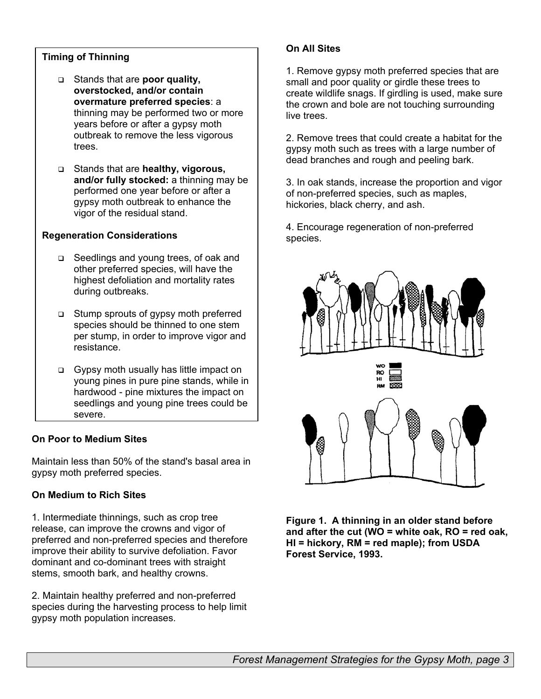#### **Timing of Thinning**

- Stands that are **poor quality, overstocked, and/or contain overmature preferred species**: a thinning may be performed two or more years before or after a gypsy moth outbreak to remove the less vigorous trees.
- Stands that are **healthy, vigorous, and/or fully stocked:** a thinning may be performed one year before or after a gypsy moth outbreak to enhance the vigor of the residual stand.

#### **Regeneration Considerations**

- □ Seedlings and young trees, of oak and other preferred species, will have the highest defoliation and mortality rates during outbreaks.
- Stump sprouts of gypsy moth preferred species should be thinned to one stem per stump, in order to improve vigor and resistance.
- Gypsy moth usually has little impact on young pines in pure pine stands, while in hardwood - pine mixtures the impact on seedlings and young pine trees could be severe.

#### **On Poor to Medium Sites**

Maintain less than 50% of the stand's basal area in gypsy moth preferred species.

#### **On Medium to Rich Sites**

1. Intermediate thinnings, such as crop tree release, can improve the crowns and vigor of preferred and non-preferred species and therefore improve their ability to survive defoliation. Favor dominant and co-dominant trees with straight stems, smooth bark, and healthy crowns.

2. Maintain healthy preferred and non-preferred species during the harvesting process to help limit gypsy moth population increases.

#### **On All Sites**

1. Remove gypsy moth preferred species that are small and poor quality or girdle these trees to create wildlife snags. If girdling is used, make sure the crown and bole are not touching surrounding live trees.

2. Remove trees that could create a habitat for the gypsy moth such as trees with a large number of dead branches and rough and peeling bark.

3. In oak stands, increase the proportion and vigor of non-preferred species, such as maples, hickories, black cherry, and ash.

4. Encourage regeneration of non-preferred species.



**Figure 1. A thinning in an older stand before and after the cut (WO = white oak, RO = red oak, HI = hickory, RM = red maple); from USDA Forest Service, 1993.**